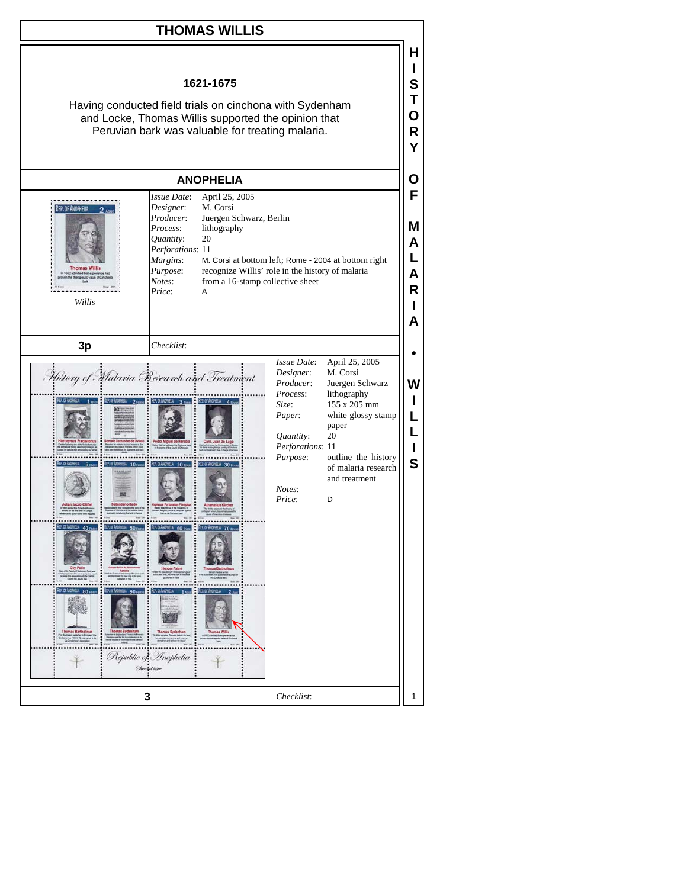